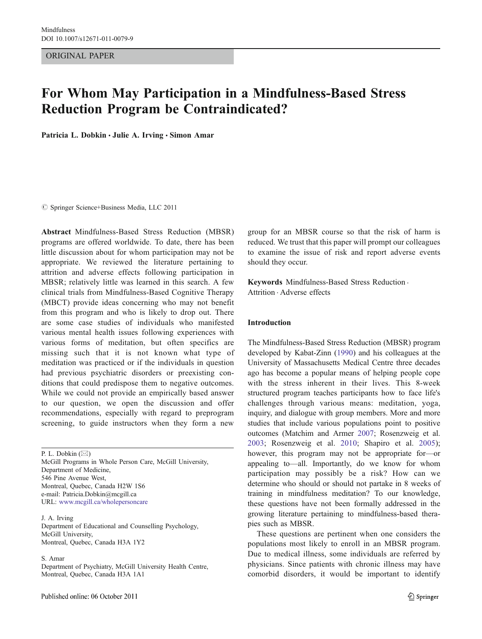ORIGINAL PAPER

# For Whom May Participation in a Mindfulness-Based Stress Reduction Program be Contraindicated?

Patricia L. Dobkin · Julie A. Irving · Simon Amar

 $©$  Springer Science+Business Media, LLC 2011

Abstract Mindfulness-Based Stress Reduction (MBSR) programs are offered worldwide. To date, there has been little discussion about for whom participation may not be appropriate. We reviewed the literature pertaining to attrition and adverse effects following participation in MBSR; relatively little was learned in this search. A few clinical trials from Mindfulness-Based Cognitive Therapy (MBCT) provide ideas concerning who may not benefit from this program and who is likely to drop out. There are some case studies of individuals who manifested various mental health issues following experiences with various forms of meditation, but often specifics are missing such that it is not known what type of meditation was practiced or if the individuals in question had previous psychiatric disorders or preexisting conditions that could predispose them to negative outcomes. While we could not provide an empirically based answer to our question, we open the discussion and offer recommendations, especially with regard to preprogram screening, to guide instructors when they form a new

P. L. Dobkin  $(\boxtimes)$ McGill Programs in Whole Person Care, McGill University, Department of Medicine, 546 Pine Avenue West, Montreal, Quebec, Canada H2W 1S6 e-mail: Patricia.Dobkin@mcgill.ca URL: www.mcgill.ca/wholepersoncare

J. A. Irving Department of Educational and Counselling Psychology, McGill University, Montreal, Quebec, Canada H3A 1Y2

S. Amar

Department of Psychiatry, McGill University Health Centre, Montreal, Quebec, Canada H3A 1A1

group for an MBSR course so that the risk of harm is reduced. We trust that this paper will prompt our colleagues to examine the issue of risk and report adverse events should they occur.

Keywords Mindfulness-Based Stress Reduction . Attrition . Adverse effects

# Introduction

The Mindfulness-Based Stress Reduction (MBSR) program developed by Kabat-Zinn [\(1990](#page-6-0)) and his colleagues at the University of Massachusetts Medical Centre three decades ago has become a popular means of helping people cope with the stress inherent in their lives. This 8-week structured program teaches participants how to face life's challenges through various means: meditation, yoga, inquiry, and dialogue with group members. More and more studies that include various populations point to positive outcomes (Matchim and Armer [2007](#page-6-0); Rosenzweig et al. [2003](#page-6-0); Rosenzweig et al. [2010](#page-6-0); Shapiro et al. [2005](#page-6-0)); however, this program may not be appropriate for—or appealing to—all. Importantly, do we know for whom participation may possibly be a risk? How can we determine who should or should not partake in 8 weeks of training in mindfulness meditation? To our knowledge, these questions have not been formally addressed in the growing literature pertaining to mindfulness-based therapies such as MBSR.

These questions are pertinent when one considers the populations most likely to enroll in an MBSR program. Due to medical illness, some individuals are referred by physicians. Since patients with chronic illness may have comorbid disorders, it would be important to identify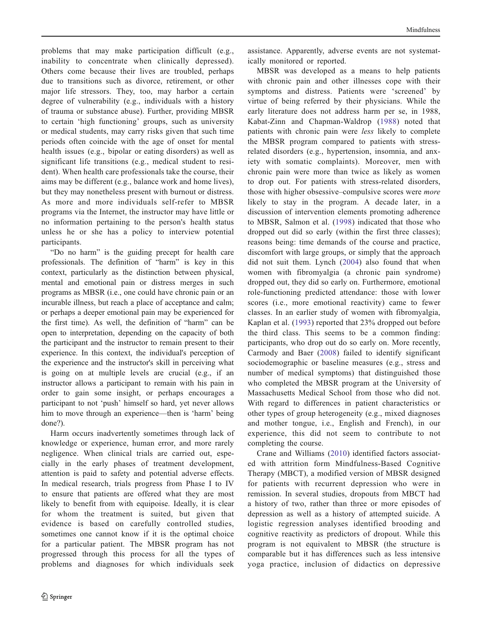problems that may make participation difficult (e.g., inability to concentrate when clinically depressed). Others come because their lives are troubled, perhaps due to transitions such as divorce, retirement, or other major life stressors. They, too, may harbor a certain degree of vulnerability (e.g., individuals with a history of trauma or substance abuse). Further, providing MBSR to certain 'high functioning' groups, such as university or medical students, may carry risks given that such time periods often coincide with the age of onset for mental health issues (e.g., bipolar or eating disorders) as well as significant life transitions (e.g., medical student to resident). When health care professionals take the course, their aims may be different (e.g., balance work and home lives), but they may nonetheless present with burnout or distress. As more and more individuals self-refer to MBSR programs via the Internet, the instructor may have little or no information pertaining to the person's health status unless he or she has a policy to interview potential participants.

"Do no harm" is the guiding precept for health care professionals. The definition of "harm" is key in this context, particularly as the distinction between physical, mental and emotional pain or distress merges in such programs as MBSR (i.e., one could have chronic pain or an incurable illness, but reach a place of acceptance and calm; or perhaps a deeper emotional pain may be experienced for the first time). As well, the definition of "harm" can be open to interpretation, depending on the capacity of both the participant and the instructor to remain present to their experience. In this context, the individual's perception of the experience and the instructor's skill in perceiving what is going on at multiple levels are crucial (e.g., if an instructor allows a participant to remain with his pain in order to gain some insight, or perhaps encourages a participant to not 'push' himself so hard, yet never allows him to move through an experience—then is 'harm' being done?).

Harm occurs inadvertently sometimes through lack of knowledge or experience, human error, and more rarely negligence. When clinical trials are carried out, especially in the early phases of treatment development, attention is paid to safety and potential adverse effects. In medical research, trials progress from Phase I to IV to ensure that patients are offered what they are most likely to benefit from with equipoise. Ideally, it is clear for whom the treatment is suited, but given that evidence is based on carefully controlled studies, sometimes one cannot know if it is the optimal choice for a particular patient. The MBSR program has not progressed through this process for all the types of problems and diagnoses for which individuals seek

assistance. Apparently, adverse events are not systematically monitored or reported.

MBSR was developed as a means to help patients with chronic pain and other illnesses cope with their symptoms and distress. Patients were 'screened' by virtue of being referred by their physicians. While the early literature does not address harm per se, in 1988, Kabat-Zinn and Chapman-Waldrop ([1988](#page-6-0)) noted that patients with chronic pain were less likely to complete the MBSR program compared to patients with stressrelated disorders (e.g., hypertension, insomnia, and anxiety with somatic complaints). Moreover, men with chronic pain were more than twice as likely as women to drop out. For patients with stress-related disorders, those with higher obsessive–compulsive scores were more likely to stay in the program. A decade later, in a discussion of intervention elements promoting adherence to MBSR, Salmon et al. ([1998](#page-6-0)) indicated that those who dropped out did so early (within the first three classes); reasons being: time demands of the course and practice, discomfort with large groups, or simply that the approach did not suit them. Lynch [\(2004\)](#page-6-0) also found that when women with fibromyalgia (a chronic pain syndrome) dropped out, they did so early on. Furthermore, emotional role-functioning predicted attendance: those with lower scores (i.e., more emotional reactivity) came to fewer classes. In an earlier study of women with fibromyalgia, Kaplan et al. [\(1993\)](#page-6-0) reported that 23% dropped out before the third class. This seems to be a common finding: participants, who drop out do so early on. More recently, Carmody and Baer ([2008](#page-5-0)) failed to identify significant sociodemographic or baseline measures (e.g., stress and number of medical symptoms) that distinguished those who completed the MBSR program at the University of Massachusetts Medical School from those who did not. With regard to differences in patient characteristics or other types of group heterogeneity (e.g., mixed diagnoses and mother tongue, i.e., English and French), in our experience, this did not seem to contribute to not completing the course.

Crane and Williams ([2010\)](#page-5-0) identified factors associated with attrition form Mindfulness-Based Cognitive Therapy (MBCT), a modified version of MBSR designed for patients with recurrent depression who were in remission. In several studies, dropouts from MBCT had a history of two, rather than three or more episodes of depression as well as a history of attempted suicide. A logistic regression analyses identified brooding and cognitive reactivity as predictors of dropout. While this program is not equivalent to MBSR (the structure is comparable but it has differences such as less intensive yoga practice, inclusion of didactics on depressive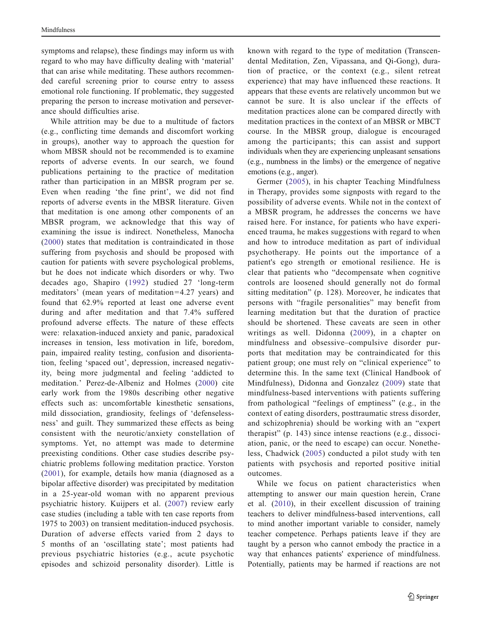symptoms and relapse), these findings may inform us with regard to who may have difficulty dealing with 'material' that can arise while meditating. These authors recommended careful screening prior to course entry to assess emotional role functioning. If problematic, they suggested preparing the person to increase motivation and perseverance should difficulties arise.

While attrition may be due to a multitude of factors (e.g., conflicting time demands and discomfort working in groups), another way to approach the question for whom MBSR should not be recommended is to examine reports of adverse events. In our search, we found publications pertaining to the practice of meditation rather than participation in an MBSR program per se. Even when reading 'the fine print', we did not find reports of adverse events in the MBSR literature. Given that meditation is one among other components of an MBSR program, we acknowledge that this way of examining the issue is indirect. Nonetheless, Manocha [\(2000](#page-6-0)) states that meditation is contraindicated in those suffering from psychosis and should be proposed with caution for patients with severe psychological problems, but he does not indicate which disorders or why. Two decades ago, Shapiro ([1992\)](#page-6-0) studied 27 'long-term meditators' (mean years of meditation=4.27 years) and found that 62.9% reported at least one adverse event during and after meditation and that 7.4% suffered profound adverse effects. The nature of these effects were: relaxation-induced anxiety and panic, paradoxical increases in tension, less motivation in life, boredom, pain, impaired reality testing, confusion and disorientation, feeling 'spaced out', depression, increased negativity, being more judgmental and feeling 'addicted to meditation.' Perez-de-Albeniz and Holmes ([2000\)](#page-6-0) cite early work from the 1980s describing other negative effects such as: uncomfortable kinesthetic sensations, mild dissociation, grandiosity, feelings of 'defenselessness' and guilt. They summarized these effects as being consistent with the neurotic/anxiety constellation of symptoms. Yet, no attempt was made to determine preexisting conditions. Other case studies describe psychiatric problems following meditation practice. Yorston [\(2001](#page-6-0)), for example, details how mania (diagnosed as a bipolar affective disorder) was precipitated by meditation in a 25-year-old woman with no apparent previous psychiatric history. Kuijpers et al. [\(2007\)](#page-6-0) review early case studies (including a table with ten case reports from 1975 to 2003) on transient meditation-induced psychosis. Duration of adverse effects varied from 2 days to 5 months of an 'oscillating state'; most patients had previous psychiatric histories (e.g., acute psychotic episodes and schizoid personality disorder). Little is

known with regard to the type of meditation (Transcendental Meditation, Zen, Vipassana, and Qi-Gong), duration of practice, or the context (e.g., silent retreat experience) that may have influenced these reactions. It appears that these events are relatively uncommon but we cannot be sure. It is also unclear if the effects of meditation practices alone can be compared directly with meditation practices in the context of an MBSR or MBCT course. In the MBSR group, dialogue is encouraged among the participants; this can assist and support individuals when they are experiencing unpleasant sensations (e.g., numbness in the limbs) or the emergence of negative emotions (e.g., anger).

Germer ([2005\)](#page-6-0), in his chapter Teaching Mindfulness in Therapy, provides some signposts with regard to the possibility of adverse events. While not in the context of a MBSR program, he addresses the concerns we have raised here. For instance, for patients who have experienced trauma, he makes suggestions with regard to when and how to introduce meditation as part of individual psychotherapy. He points out the importance of a patient's ego strength or emotional resilience. He is clear that patients who "decompensate when cognitive controls are loosened should generally not do formal sitting meditation" (p. 128). Moreover, he indicates that persons with "fragile personalities" may benefit from learning meditation but that the duration of practice should be shortened. These caveats are seen in other writings as well. Didonna ([2009\)](#page-5-0), in a chapter on mindfulness and obsessive–compulsive disorder purports that meditation may be contraindicated for this patient group; one must rely on "clinical experience" to determine this. In the same text (Clinical Handbook of Mindfulness), Didonna and Gonzalez ([2009](#page-5-0)) state that mindfulness-based interventions with patients suffering from pathological "feelings of emptiness" (e.g., in the context of eating disorders, posttraumatic stress disorder, and schizophrenia) should be working with an "expert therapist" (p. 143) since intense reactions (e.g., dissociation, panic, or the need to escape) can occur. Nonetheless, Chadwick ([2005](#page-5-0)) conducted a pilot study with ten patients with psychosis and reported positive initial outcomes.

While we focus on patient characteristics when attempting to answer our main question herein, Crane et al. ([2010\)](#page-5-0), in their excellent discussion of training teachers to deliver mindfulness-based interventions, call to mind another important variable to consider, namely teacher competence. Perhaps patients leave if they are taught by a person who cannot embody the practice in a way that enhances patients' experience of mindfulness. Potentially, patients may be harmed if reactions are not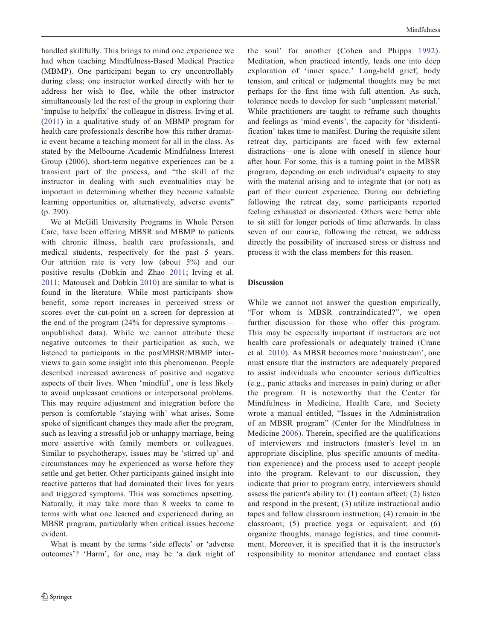handled skillfully. This brings to mind one experience we had when teaching Mindfulness-Based Medical Practice (MBMP). One participant began to cry uncontrollably during class; one instructor worked directly with her to address her wish to flee, while the other instructor simultaneously led the rest of the group in exploring their 'impulse to help/fix' the colleague in distress. Irving et al. [\(2011\)](#page-6-0) in a qualitative study of an MBMP program for health care professionals describe how this rather dramatic event became a teaching moment for all in the class. As stated by the Melbourne Academic Mindfulness Interest Group (2006), short-term negative experiences can be a transient part of the process, and "the skill of the instructor in dealing with such eventualities may be important in determining whether they become valuable learning opportunities or, alternatively, adverse events" (p. 290).

We at McGill University Programs in Whole Person Care, have been offering MBSR and MBMP to patients with chronic illness, health care professionals, and medical students, respectively for the past 5 years. Our attrition rate is very low (about 5%) and our positive results (Dobkin and Zhao [2011;](#page-6-0) Irving et al. [2011](#page-6-0); Matousek and Dobkin [2010\)](#page-6-0) are similar to what is found in the literature. While most participants show benefit, some report increases in perceived stress or scores over the cut-point on a screen for depression at the end of the program (24% for depressive symptoms unpublished data). While we cannot attribute these negative outcomes to their participation as such, we listened to participants in the postMBSR/MBMP interviews to gain some insight into this phenomenon. People described increased awareness of positive and negative aspects of their lives. When 'mindful', one is less likely to avoid unpleasant emotions or interpersonal problems. This may require adjustment and integration before the person is comfortable 'staying with' what arises. Some spoke of significant changes they made after the program, such as leaving a stressful job or unhappy marriage, being more assertive with family members or colleagues. Similar to psychotherapy, issues may be 'stirred up' and circumstances may be experienced as worse before they settle and get better. Other participants gained insight into reactive patterns that had dominated their lives for years and triggered symptoms. This was sometimes upsetting. Naturally, it may take more than 8 weeks to come to terms with what one learned and experienced during an MBSR program, particularly when critical issues become evident.

What is meant by the terms 'side effects' or 'adverse outcomes'? 'Harm', for one, may be 'a dark night of

the soul' for another (Cohen and Phipps [1992](#page-5-0)). Meditation, when practiced intently, leads one into deep exploration of 'inner space.' Long-held grief, body tension, and critical or judgmental thoughts may be met perhaps for the first time with full attention. As such, tolerance needs to develop for such 'unpleasant material.' While practitioners are taught to reframe such thoughts and feelings as 'mind events', the capacity for 'disidentification' takes time to manifest. During the requisite silent retreat day, participants are faced with few external distractions—one is alone with oneself in silence hour after hour. For some, this is a turning point in the MBSR program, depending on each individual's capacity to stay with the material arising and to integrate that (or not) as part of their current experience. During our debriefing following the retreat day, some participants reported feeling exhausted or disoriented. Others were better able to sit still for longer periods of time afterwards. In class seven of our course, following the retreat, we address directly the possibility of increased stress or distress and process it with the class members for this reason.

## Discussion

While we cannot not answer the question empirically, "For whom is MBSR contraindicated?", we open further discussion for those who offer this program. This may be especially important if instructors are not health care professionals or adequately trained (Crane et al. [2010](#page-5-0)). As MBSR becomes more 'mainstream', one must ensure that the instructors are adequately prepared to assist individuals who encounter serious difficulties (e.g., panic attacks and increases in pain) during or after the program. It is noteworthy that the Center for Mindfulness in Medicine, Health Care, and Society wrote a manual entitled, "Issues in the Administration of an MBSR program" (Center for the Mindfulness in Medicine [2006](#page-5-0)). Therein, specified are the qualifications of interviewers and instructors (master's level in an appropriate discipline, plus specific amounts of meditation experience) and the process used to accept people into the program. Relevant to our discussion, they indicate that prior to program entry, interviewers should assess the patient's ability to: (1) contain affect; (2) listen and respond in the present; (3) utilize instructional audio tapes and follow classroom instruction; (4) remain in the classroom; (5) practice yoga or equivalent; and (6) organize thoughts, manage logistics, and time commitment. Moreover, it is specified that it is the instructor's responsibility to monitor attendance and contact class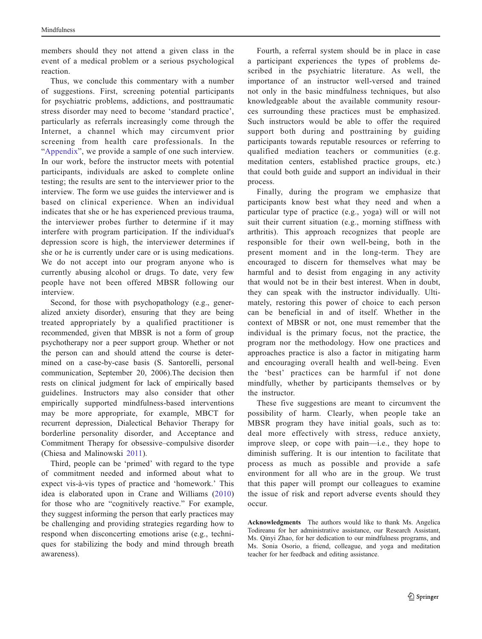members should they not attend a given class in the event of a medical problem or a serious psychological reaction.

Thus, we conclude this commentary with a number of suggestions. First, screening potential participants for psychiatric problems, addictions, and posttraumatic stress disorder may need to become 'standard practice', particularly as referrals increasingly come through the Internet, a channel which may circumvent prior screening from health care professionals. In the "[Appendix](#page-5-0)", we provide a sample of one such interview. In our work, before the instructor meets with potential participants, individuals are asked to complete online testing; the results are sent to the interviewer prior to the interview. The form we use guides the interviewer and is based on clinical experience. When an individual indicates that she or he has experienced previous trauma, the interviewer probes further to determine if it may interfere with program participation. If the individual's depression score is high, the interviewer determines if she or he is currently under care or is using medications. We do not accept into our program anyone who is currently abusing alcohol or drugs. To date, very few people have not been offered MBSR following our interview.

Second, for those with psychopathology (e.g., generalized anxiety disorder), ensuring that they are being treated appropriately by a qualified practitioner is recommended, given that MBSR is not a form of group psychotherapy nor a peer support group. Whether or not the person can and should attend the course is determined on a case-by-case basis (S. Santorelli, personal communication, September 20, 2006).The decision then rests on clinical judgment for lack of empirically based guidelines. Instructors may also consider that other empirically supported mindfulness-based interventions may be more appropriate, for example, MBCT for recurrent depression, Dialectical Behavior Therapy for borderline personality disorder, and Acceptance and Commitment Therapy for obsessive–compulsive disorder (Chiesa and Malinowski [2011](#page-5-0)).

Third, people can be 'primed' with regard to the type of commitment needed and informed about what to expect vis-à-vis types of practice and 'homework.' This idea is elaborated upon in Crane and Williams ([2010\)](#page-5-0) for those who are "cognitively reactive." For example, they suggest informing the person that early practices may be challenging and providing strategies regarding how to respond when disconcerting emotions arise (e.g., techniques for stabilizing the body and mind through breath awareness).

Fourth, a referral system should be in place in case a participant experiences the types of problems described in the psychiatric literature. As well, the importance of an instructor well-versed and trained not only in the basic mindfulness techniques, but also knowledgeable about the available community resources surrounding these practices must be emphasized. Such instructors would be able to offer the required support both during and posttraining by guiding participants towards reputable resources or referring to qualified mediation teachers or communities (e.g. meditation centers, established practice groups, etc.) that could both guide and support an individual in their process.

Finally, during the program we emphasize that participants know best what they need and when a particular type of practice (e.g., yoga) will or will not suit their current situation (e.g., morning stiffness with arthritis). This approach recognizes that people are responsible for their own well-being, both in the present moment and in the long-term. They are encouraged to discern for themselves what may be harmful and to desist from engaging in any activity that would not be in their best interest. When in doubt, they can speak with the instructor individually. Ultimately, restoring this power of choice to each person can be beneficial in and of itself. Whether in the context of MBSR or not, one must remember that the individual is the primary focus, not the practice, the program nor the methodology. How one practices and approaches practice is also a factor in mitigating harm and encouraging overall health and well-being. Even the 'best' practices can be harmful if not done mindfully, whether by participants themselves or by the instructor.

These five suggestions are meant to circumvent the possibility of harm. Clearly, when people take an MBSR program they have initial goals, such as to: deal more effectively with stress, reduce anxiety, improve sleep, or cope with pain—i.e., they hope to diminish suffering. It is our intention to facilitate that process as much as possible and provide a safe environment for all who are in the group. We trust that this paper will prompt our colleagues to examine the issue of risk and report adverse events should they occur.

Acknowledgments The authors would like to thank Ms. Angelica Todireanu for her administrative assistance, our Research Assistant, Ms. Qinyi Zhao, for her dedication to our mindfulness programs, and Ms. Sonia Osorio, a friend, colleague, and yoga and meditation teacher for her feedback and editing assistance.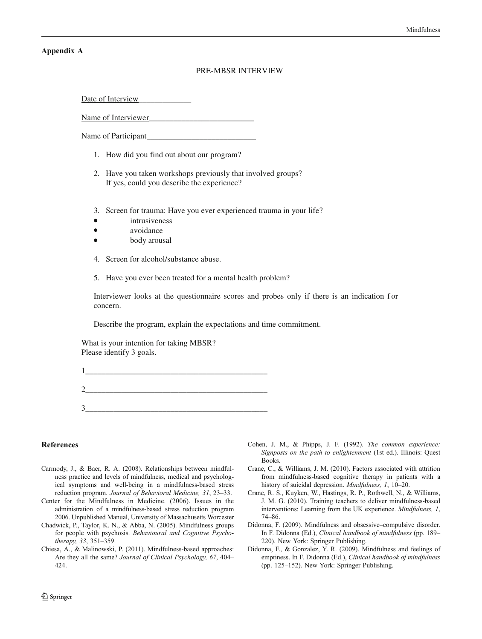#### <span id="page-5-0"></span>Appendix A

## PRE-MBSR INTERVIEW

Date of Interview

Name of Interviewer

Name of Participant

- 1. How did you find out about our program?
- 2. Have you taken workshops previously that involved groups? If yes, could you describe the experience?
- 3. Screen for trauma: Have you ever experienced trauma in your life?
- intrusiveness
- avoidance
- body arousal
- 4. Screen for alcohol/substance abuse.
- 5. Have you ever been treated for a mental health problem?

Interviewer looks at the questionnaire scores and probes only if there is an indication for concern.

Describe the program, explain the expectations and time commitment.

What is your intention for taking MBSR? Please identify 3 goals.

 $1$ 

 $2$ 

3\_\_\_\_\_\_\_\_\_\_\_\_\_\_\_\_\_\_\_\_\_\_\_\_\_\_\_\_\_\_\_\_\_\_\_\_\_\_\_\_\_\_\_\_\_

#### References

- Carmody, J., & Baer, R. A. (2008). Relationships between mindfulness practice and levels of mindfulness, medical and psychological symptoms and well-being in a mindfulness-based stress reduction program. Journal of Behavioral Medicine, 31, 23–33.
- Center for the Mindfulness in Medicine. (2006). Issues in the administration of a mindfulness-based stress reduction program 2006. Unpublished Manual, University of Massachusetts Worcester
- Chadwick, P., Taylor, K. N., & Abba, N. (2005). Mindfulness groups for people with psychosis. Behavioural and Cognitive Psychotherapy, 33, 351–359.
- Chiesa, A., & Malinowski, P. (2011). Mindfulness-based approaches: Are they all the same? Journal of Clinical Psychology, 67, 404– 424.
- Cohen, J. M., & Phipps, J. F. (1992). The common experience: Signposts on the path to enlightenment (1st ed.). Illinois: Quest Books.
- Crane, C., & Williams, J. M. (2010). Factors associated with attrition from mindfulness-based cognitive therapy in patients with a history of suicidal depression. Mindfulness, 1, 10-20.
- Crane, R. S., Kuyken, W., Hastings, R. P., Rothwell, N., & Williams, J. M. G. (2010). Training teachers to deliver mindfulness-based interventions: Learning from the UK experience. Mindfulness, 1, 74–86.
- Didonna, F. (2009). Mindfulness and obsessive–compulsive disorder. In F. Didonna (Ed.), Clinical handbook of mindfulness (pp. 189– 220). New York: Springer Publishing.
- Didonna, F., & Gonzalez, Y. R. (2009). Mindfulness and feelings of emptiness. In F. Didonna (Ed.), Clinical handbook of mindfulness (pp. 125–152). New York: Springer Publishing.